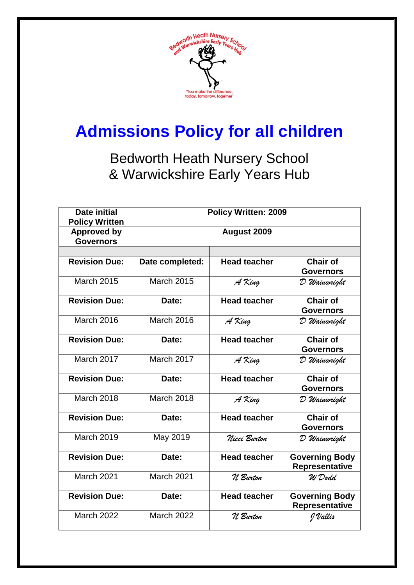

# **Admissions Policy for all children**

Bedworth Heath Nursery School & Warwickshire Early Years Hub

| <b>Date initial</b><br><b>Policy Written</b> | <b>Policy Written: 2009</b> |                     |                                                |
|----------------------------------------------|-----------------------------|---------------------|------------------------------------------------|
| <b>Approved by</b><br><b>Governors</b>       | August 2009                 |                     |                                                |
|                                              |                             |                     |                                                |
| <b>Revision Due:</b>                         | Date completed:             | <b>Head teacher</b> | <b>Chair of</b><br><b>Governors</b>            |
| <b>March 2015</b>                            | <b>March 2015</b>           | A King              | D Wainwright                                   |
| <b>Revision Due:</b>                         | Date:                       | <b>Head teacher</b> | <b>Chair of</b><br><b>Governors</b>            |
| <b>March 2016</b>                            | <b>March 2016</b>           | A King              | D Wainwright                                   |
| <b>Revision Due:</b>                         | Date:                       | <b>Head teacher</b> | <b>Chair of</b><br><b>Governors</b>            |
| <b>March 2017</b>                            | March 2017                  | A King              | D Wainwright                                   |
| <b>Revision Due:</b>                         | Date:                       | <b>Head teacher</b> | <b>Chair of</b><br><b>Governors</b>            |
| <b>March 2018</b>                            | <b>March 2018</b>           | A King              | D Wainwright                                   |
| <b>Revision Due:</b>                         | Date:                       | <b>Head teacher</b> | <b>Chair of</b><br><b>Governors</b>            |
| <b>March 2019</b>                            | May 2019                    | Nicci Burton        | D Wainwright                                   |
| <b>Revision Due:</b>                         | Date:                       | <b>Head teacher</b> | <b>Governing Body</b><br><b>Representative</b> |
| March 2021                                   | March 2021                  | N Burton            | W Dodd                                         |
| <b>Revision Due:</b>                         | Date:                       | <b>Head teacher</b> | <b>Governing Body</b><br>Representative        |
| <b>March 2022</b>                            | <b>March 2022</b>           | N Burton            | J Vallis                                       |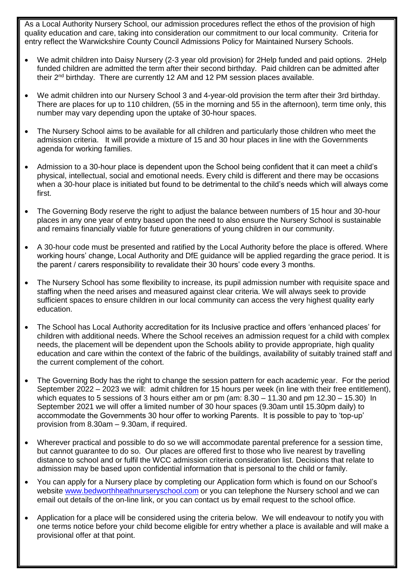As a Local Authority Nursery School, our admission procedures reflect the ethos of the provision of high quality education and care, taking into consideration our commitment to our local community. Criteria for entry reflect the Warwickshire County Council Admissions Policy for Maintained Nursery Schools.

- We admit children into Daisy Nursery (2-3 year old provision) for 2Help funded and paid options. 2Help funded children are admitted the term after their second birthday. Paid children can be admitted after their 2nd birthday. There are currently 12 AM and 12 PM session places available.
- We admit children into our Nursery School 3 and 4-year-old provision the term after their 3rd birthday. There are places for up to 110 children, (55 in the morning and 55 in the afternoon), term time only, this number may vary depending upon the uptake of 30-hour spaces.
- The Nursery School aims to be available for all children and particularly those children who meet the admission criteria. It will provide a mixture of 15 and 30 hour places in line with the Governments agenda for working families.
- Admission to a 30-hour place is dependent upon the School being confident that it can meet a child's physical, intellectual, social and emotional needs. Every child is different and there may be occasions when a 30-hour place is initiated but found to be detrimental to the child's needs which will always come first.
- The Governing Body reserve the right to adjust the balance between numbers of 15 hour and 30-hour places in any one year of entry based upon the need to also ensure the Nursery School is sustainable and remains financially viable for future generations of young children in our community.
- A 30-hour code must be presented and ratified by the Local Authority before the place is offered. Where working hours' change, Local Authority and DfE guidance will be applied regarding the grace period. It is the parent / carers responsibility to revalidate their 30 hours' code every 3 months.
- The Nursery School has some flexibility to increase, its pupil admission number with requisite space and staffing when the need arises and measured against clear criteria. We will always seek to provide sufficient spaces to ensure children in our local community can access the very highest quality early education.
- The School has Local Authority accreditation for its Inclusive practice and offers 'enhanced places' for children with additional needs. Where the School receives an admission request for a child with complex needs, the placement will be dependent upon the Schools ability to provide appropriate, high quality education and care within the context of the fabric of the buildings, availability of suitably trained staff and the current complement of the cohort.
- The Governing Body has the right to change the session pattern for each academic year. For the period September 2022 – 2023 we will: admit children for 15 hours per week (in line with their free entitlement), which equates to 5 sessions of 3 hours either am or pm (am:  $8.30 - 11.30$  and pm  $12.30 - 15.30$ ) In September 2021 we will offer a limited number of 30 hour spaces (9.30am until 15.30pm daily) to accommodate the Governments 30 hour offer to working Parents. It is possible to pay to 'top-up' provision from 8.30am – 9.30am, if required.
- Wherever practical and possible to do so we will accommodate parental preference for a session time, but cannot guarantee to do so. Our places are offered first to those who live nearest by travelling distance to school and or fulfil the WCC admission criteria consideration list. Decisions that relate to admission may be based upon confidential information that is personal to the child or family.
- You can apply for a Nursery place by completing our Application form which is found on our School's website [www.bedworthheathnurseryschool.com](http://www.bedworthheathnurseryschool.com/) or you can telephone the Nursery school and we can email out details of the on-line link, or you can contact us by email request to the school office.
- Application for a place will be considered using the criteria below. We will endeavour to notify you with one terms notice before your child become eligible for entry whether a place is available and will make a provisional offer at that point.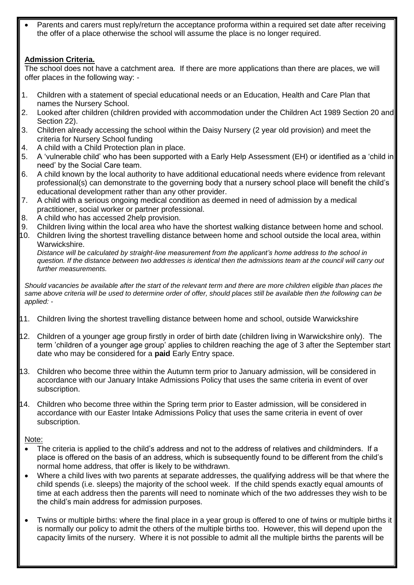Parents and carers must reply/return the acceptance proforma within a required set date after receiving the offer of a place otherwise the school will assume the place is no longer required.

## **Admission Criteria.**

The school does not have a catchment area. If there are more applications than there are places, we will offer places in the following way: -

- 1. Children with a statement of special educational needs or an Education, Health and Care Plan that names the Nursery School.
- 2. Looked after children (children provided with accommodation under the Children Act 1989 Section 20 and Section 22).
- 3. Children already accessing the school within the Daisy Nursery (2 year old provision) and meet the criteria for Nursery School funding
- 4. A child with a Child Protection plan in place.
- 5. A 'vulnerable child' who has been supported with a Early Help Assessment (EH) or identified as a 'child in need' by the Social Care team.
- 6. A child known by the local authority to have additional educational needs where evidence from relevant professional(s) can demonstrate to the governing body that a nursery school place will benefit the child's educational development rather than any other provider.
- 7. A child with a serious ongoing medical condition as deemed in need of admission by a medical practitioner, social worker or partner professional.
- 8. A child who has accessed 2help provision.
- 9. Children living within the local area who have the shortest walking distance between home and school.
- 10. Children living the shortest travelling distance between home and school outside the local area, within Warwickshire.

*Distance will be calculated by straight-line measurement from the applicant's home address to the school in question. If the distance between two addresses is identical then the admissions team at the council will carry out further measurements.* 

*Should vacancies be available after the start of the relevant term and there are more children eligible than places the same above criteria will be used to determine order of offer, should places still be available then the following can be applied: -*

- 11. Children living the shortest travelling distance between home and school, outside Warwickshire
- 12. Children of a younger age group firstly in order of birth date (children living in Warwickshire only). The term 'children of a younger age group' applies to children reaching the age of 3 after the September start date who may be considered for a **paid** Early Entry space.
- 13. Children who become three within the Autumn term prior to January admission, will be considered in accordance with our January Intake Admissions Policy that uses the same criteria in event of over subscription.
- 14. Children who become three within the Spring term prior to Easter admission, will be considered in accordance with our Easter Intake Admissions Policy that uses the same criteria in event of over subscription.

Note:

- The criteria is applied to the child's address and not to the address of relatives and childminders. If a place is offered on the basis of an address, which is subsequently found to be different from the child's normal home address, that offer is likely to be withdrawn.
- Where a child lives with two parents at separate addresses, the qualifying address will be that where the child spends (i.e. sleeps) the majority of the school week. If the child spends exactly equal amounts of time at each address then the parents will need to nominate which of the two addresses they wish to be the child's main address for admission purposes.
- Twins or multiple births: where the final place in a year group is offered to one of twins or multiple births it is normally our policy to admit the others of the multiple births too. However, this will depend upon the capacity limits of the nursery. Where it is not possible to admit all the multiple births the parents will be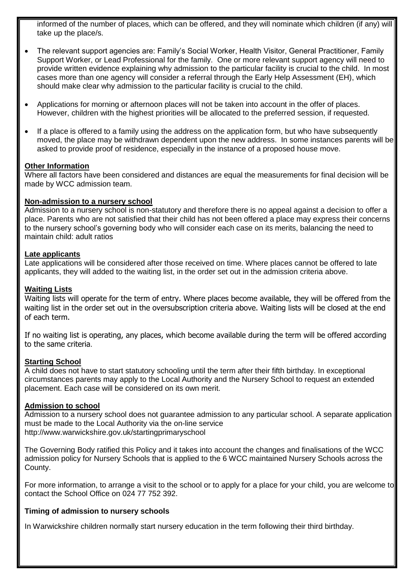informed of the number of places, which can be offered, and they will nominate which children (if any) will take up the place/s.

- The relevant support agencies are: Family's Social Worker, Health Visitor, General Practitioner, Family Support Worker, or Lead Professional for the family. One or more relevant support agency will need to provide written evidence explaining why admission to the particular facility is crucial to the child. In most cases more than one agency will consider a referral through the Early Help Assessment (EH), which should make clear why admission to the particular facility is crucial to the child.
- Applications for morning or afternoon places will not be taken into account in the offer of places. However, children with the highest priorities will be allocated to the preferred session, if requested.
- If a place is offered to a family using the address on the application form, but who have subsequently moved, the place may be withdrawn dependent upon the new address. In some instances parents will be asked to provide proof of residence, especially in the instance of a proposed house move.

#### **Other Information**

Where all factors have been considered and distances are equal the measurements for final decision will be made by WCC admission team.

#### **Non-admission to a nursery school**

Admission to a nursery school is non-statutory and therefore there is no appeal against a decision to offer a place. Parents who are not satisfied that their child has not been offered a place may express their concerns to the nursery school's governing body who will consider each case on its merits, balancing the need to maintain child: adult ratios

#### **Late applicants**

Late applications will be considered after those received on time. Where places cannot be offered to late applicants, they will added to the waiting list, in the order set out in the admission criteria above.

### **Waiting Lists**

Waiting lists will operate for the term of entry. Where places become available, they will be offered from the waiting list in the order set out in the oversubscription criteria above. Waiting lists will be closed at the end of each term.

If no waiting list is operating, any places, which become available during the term will be offered according to the same criteria.

## **Starting School**

A child does not have to start statutory schooling until the term after their fifth birthday. In exceptional circumstances parents may apply to the Local Authority and the Nursery School to request an extended placement. Each case will be considered on its own merit.

#### **Admission to school**

Admission to a nursery school does not guarantee admission to any particular school. A separate application must be made to the Local Authority via the on-line service http://www.warwickshire.gov.uk/startingprimaryschool

The Governing Body ratified this Policy and it takes into account the changes and finalisations of the WCC admission policy for Nursery Schools that is applied to the 6 WCC maintained Nursery Schools across the County.

For more information, to arrange a visit to the school or to apply for a place for your child, you are welcome to contact the School Office on 024 77 752 392.

## **Timing of admission to nursery schools**

In Warwickshire children normally start nursery education in the term following their third birthday.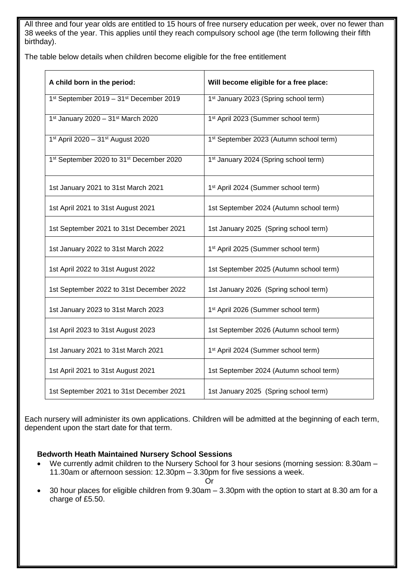All three and four year olds are entitled to 15 hours of free nursery education per week, over no fewer than 38 weeks of the year. This applies until they reach compulsory school age (the term following their fifth birthday).

The table below details when children become eligible for the free entitlement

| A child born in the period:              | Will become eligible for a free place:            |  |
|------------------------------------------|---------------------------------------------------|--|
| 1st September 2019 - 31st December 2019  | 1 <sup>st</sup> January 2023 (Spring school term) |  |
| 1st January 2020 - 31st March 2020       | 1 <sup>st</sup> April 2023 (Summer school term)   |  |
| 1st April 2020 - 31st August 2020        | 1st September 2023 (Autumn school term)           |  |
| 1st September 2020 to 31st December 2020 | 1 <sup>st</sup> January 2024 (Spring school term) |  |
| 1st January 2021 to 31st March 2021      | 1st April 2024 (Summer school term)               |  |
| 1st April 2021 to 31st August 2021       | 1st September 2024 (Autumn school term)           |  |
| 1st September 2021 to 31st December 2021 | 1st January 2025 (Spring school term)             |  |
| 1st January 2022 to 31st March 2022      | 1st April 2025 (Summer school term)               |  |
| 1st April 2022 to 31st August 2022       | 1st September 2025 (Autumn school term)           |  |
| 1st September 2022 to 31st December 2022 | 1st January 2026 (Spring school term)             |  |
| 1st January 2023 to 31st March 2023      | 1 <sup>st</sup> April 2026 (Summer school term)   |  |
| 1st April 2023 to 31st August 2023       | 1st September 2026 (Autumn school term)           |  |
| 1st January 2021 to 31st March 2021      | 1 <sup>st</sup> April 2024 (Summer school term)   |  |
| 1st April 2021 to 31st August 2021       | 1st September 2024 (Autumn school term)           |  |
| 1st September 2021 to 31st December 2021 | 1st January 2025 (Spring school term)             |  |

Each nursery will administer its own applications. Children will be admitted at the beginning of each term, dependent upon the start date for that term.

## **Bedworth Heath Maintained Nursery School Sessions**

 We currently admit children to the Nursery School for 3 hour sesions (morning session: 8.30am – 11.30am or afternoon session: 12.30pm – 3.30pm for five sessions a week.

Or

 30 hour places for eligible children from 9.30am – 3.30pm with the option to start at 8.30 am for a charge of £5.50.